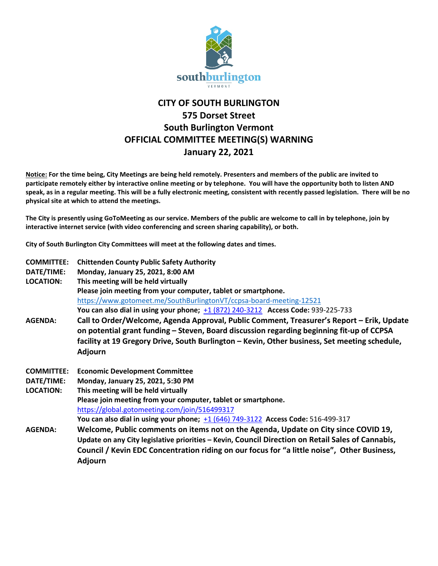

## **CITY OF SOUTH BURLINGTON 575 Dorset Street South Burlington Vermont OFFICIAL COMMITTEE MEETING(S) WARNING January 22, 2021**

**Notice: For the time being, City Meetings are being held remotely. Presenters and members of the public are invited to participate remotely either by interactive online meeting or by telephone. You will have the opportunity both to listen AND speak, as in a regular meeting. This will be a fully electronic meeting, consistent with recently passed legislation. There will be no physical site at which to attend the meetings.** 

**The City is presently using GoToMeeting as our service. Members of the public are welcome to call in by telephone, join by interactive internet service (with video conferencing and screen sharing capability), or both.**

**City of South Burlington City Committees will meet at the following dates and times.** 

| <b>COMMITTEE:</b><br>DATE/TIME:<br><b>LOCATION:</b> | <b>Chittenden County Public Safety Authority</b><br>Monday, January 25, 2021, 8:00 AM<br>This meeting will be held virtually<br>Please join meeting from your computer, tablet or smartphone.<br>https://www.gotomeet.me/SouthBurlingtonVT/ccpsa-board-meeting-12521<br>You can also dial in using your phone; $\pm 1$ (872) 240-3212 Access Code: 939-225-733 |
|-----------------------------------------------------|----------------------------------------------------------------------------------------------------------------------------------------------------------------------------------------------------------------------------------------------------------------------------------------------------------------------------------------------------------------|
| <b>AGENDA:</b>                                      | Call to Order/Welcome, Agenda Approval, Public Comment, Treasurer's Report - Erik, Update<br>on potential grant funding - Steven, Board discussion regarding beginning fit-up of CCPSA<br>facility at 19 Gregory Drive, South Burlington – Kevin, Other business, Set meeting schedule,<br><b>Adjourn</b>                                                      |
| <b>COMMITTEE:</b>                                   | <b>Economic Development Committee</b>                                                                                                                                                                                                                                                                                                                          |
| DATE/TIME:                                          | Monday, January 25, 2021, 5:30 PM                                                                                                                                                                                                                                                                                                                              |
| <b>LOCATION:</b>                                    | This meeting will be held virtually                                                                                                                                                                                                                                                                                                                            |
|                                                     | Please join meeting from your computer, tablet or smartphone.                                                                                                                                                                                                                                                                                                  |
|                                                     | https://global.gotomeeting.com/join/516499317                                                                                                                                                                                                                                                                                                                  |
|                                                     | You can also dial in using your phone; $\pm 1$ (646) 749-3122 Access Code: 516-499-317                                                                                                                                                                                                                                                                         |
| <b>AGENDA:</b>                                      | Welcome, Public comments on items not on the Agenda, Update on City since COVID 19,<br>Update on any City legislative priorities - Kevin, Council Direction on Retail Sales of Cannabis,<br>Council / Kevin EDC Concentration riding on our focus for "a little noise", Other Business,<br>Adjourn                                                             |